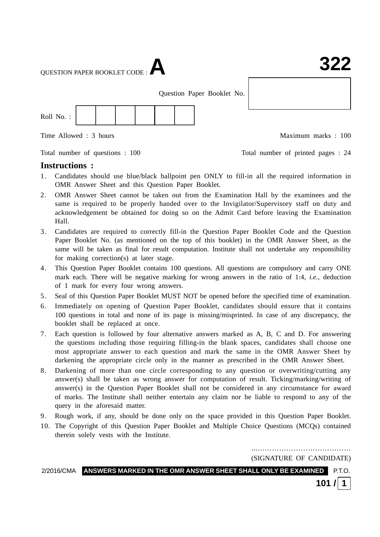QUESTION PAPER BOOKLET CODE :**A**

Question Paper Booklet No.



Time Allowed : 3 hours and the set of the Maximum marks : 100

Total number of questions : 100 Total number of printed pages : 24

#### **Instructions :**

- 1. Candidates should use blue/black ballpoint pen ONLY to fill-in all the required information in OMR Answer Sheet and this Question Paper Booklet.
- 2. OMR Answer Sheet cannot be taken out from the Examination Hall by the examinees and the same is required to be properly handed over to the Invigilator/Supervisory staff on duty and acknowledgement be obtained for doing so on the Admit Card before leaving the Examination Hall.
- 3. Candidates are required to correctly fill-in the Question Paper Booklet Code and the Question Paper Booklet No. (as mentioned on the top of this booklet) in the OMR Answer Sheet, as the same will be taken as final for result computation. Institute shall not undertake any responsibility for making correction(s) at later stage.
- 4. This Question Paper Booklet contains 100 questions. All questions are compulsory and carry ONE mark each. There will be negative marking for wrong answers in the ratio of 1:4, *i.e.*, deduction of 1 mark for every four wrong answers.
- 5. Seal of this Question Paper Booklet MUST NOT be opened before the specified time of examination.
- 6. Immediately on opening of Question Paper Booklet, candidates should ensure that it contains 100 questions in total and none of its page is missing/misprinted. In case of any discrepancy, the booklet shall be replaced at once.
- 7. Each question is followed by four alternative answers marked as A, B, C and D. For answering the questions including those requiring filling-in the blank spaces, candidates shall choose one most appropriate answer to each question and mark the same in the OMR Answer Sheet by darkening the appropriate circle only in the manner as prescribed in the OMR Answer Sheet.
- 8. Darkening of more than one circle corresponding to any question or overwriting/cutting any answer(s) shall be taken as wrong answer for computation of result. Ticking/marking/writing of answer(s) in the Question Paper Booklet shall not be considered in any circumstance for award of marks. The Institute shall neither entertain any claim nor be liable to respond to any of the query in the aforesaid matter.
- 9. Rough work, if any, should be done only on the space provided in this Question Paper Booklet.
- 10. The Copyright of this Question Paper Booklet and Multiple Choice Questions (MCQs) contained therein solely vests with the Institute.

...………………………………… (SIGNATURE OF CANDIDATE)

2/2016/CMA **ANSWERS MARKED IN THE OMR ANSWER SHEET SHALL ONLY BE EXAMINED** P.T.O.

**101 / 1**

### : 1 : **322**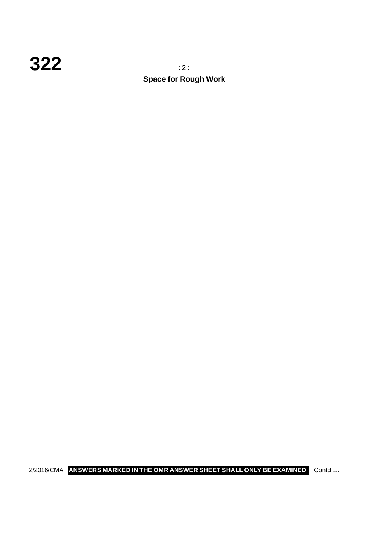### **322** : 2 :

**Space for Rough Work**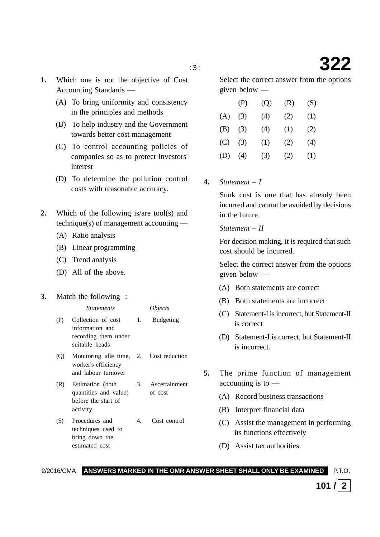- **1.** Which one is not the objective of Cost Accounting Standards —
	- (A) To bring uniformity and consistency in the principles and methods
	- (B) To help industry and the Government towards better cost management
	- (C) To control accounting policies of companies so as to protect investors' interest
	- (D) To determine the pollution control costs with reasonable accuracy.
- **2.** Which of the following is/are tool(s) and technique(s) of management accounting —
	- (A) Ratio analysis
	- (B) Linear programming
	- (C) Trend analysis
	- (D) All of the above.

#### **3.** Match the following :

|                   | <i>Statements</i>                                                                     |    | <i>Objects</i>   |
|-------------------|---------------------------------------------------------------------------------------|----|------------------|
| (P)               | Collection of cost<br>information and<br>recording them under<br>suitable heads       | 1. | <b>Budgeting</b> |
| $\left( 0\right)$ | Monitoring idle time, 2. Cost reduction<br>worker's efficiency<br>and labour turnover |    |                  |
|                   | Estimation (both                                                                      | 3. | Ascertainment    |

- quantities and value) of cost before the start of activity
- (S) Procedures and 4. Cost control techniques used to bring down the estimated cost

Select the correct answer from the options given below —

|     | (P) | (Q) | (R) | (S) |
|-----|-----|-----|-----|-----|
| (A) | (3) | (4) | (2) | (1) |
| (B) | (3) | (4) | (1) | (2) |
| (C) | (3) | (1) | (2) | (4) |
| (D) | (4) | (3) | (2) | (1) |

**4.** *Statement – I*

Sunk cost is one that has already been incurred and cannot be avoided by decisions in the future.

#### *Statement – II*

For decision making, it is required that such cost should be incurred.

Select the correct answer from the options given below —

- (A) Both statements are correct
- (B) Both statements are incorrect
- (C) Statement-I is incorrect, but Statement-II is correct
- (D) Statement-I is correct, but Statement-II is incorrect.
- **5.** The prime function of management accounting is to —
	- (A) Record business transactions
	- (B) Interpret financial data
	- (C) Assist the management in performing its functions effectively
	- (D) Assist tax authorities.

2/2016/CMA **ANSWERS MARKED IN THE OMR ANSWER SHEET SHALL ONLY BE EXAMINED** P.T.O.

**101** /  $|2|$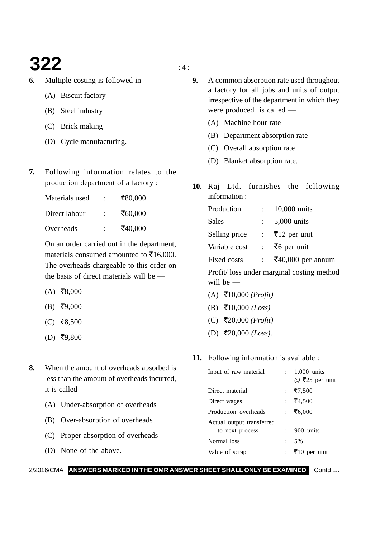### **322**  $\frac{1}{4}$

- **6.** Multiple costing is followed in
	- (A) Biscuit factory
	- (B) Steel industry
	- (C) Brick making
	- (D) Cycle manufacturing.
- **7.** Following information relates to the production department of a factory :

| Materials used | $\ddot{\phantom{a}}$ | ₹80,000 |
|----------------|----------------------|---------|
| Direct labour  | ٠.                   | ₹60,000 |
| Overheads      |                      | ₹40,000 |

On an order carried out in the department, materials consumed amounted to  $\bar{\mathfrak{F}}16,000$ . The overheads chargeable to this order on the basis of direct materials will be —

- $(A)$  ₹8,000
- $(B)$  ₹9,000
- $(C)$  ₹8,500
- $(D)$  ₹9,800
- **8.** When the amount of overheads absorbed is less than the amount of overheads incurred, it is called —
	- (A) Under-absorption of overheads
	- (B) Over-absorption of overheads
	- (C) Proper absorption of overheads
	- (D) None of the above.
- **9.** A common absorption rate used throughout a factory for all jobs and units of output irrespective of the department in which they were produced is called —
	- (A) Machine hour rate
	- (B) Department absorption rate
	- (C) Overall absorption rate
	- (D) Blanket absorption rate.
- **10.** Raj Ltd. furnishes the following information :

| Production    | 10,000 units              |
|---------------|---------------------------|
| Sales         | 5,000 units               |
| Selling price | $\bar{z}$ 12 per unit     |
| Variable cost | $\bar{z}$ per unit        |
| Fixed costs   | $\bar{z}40,000$ per annum |

Profit/ loss under marginal costing method will be —

- (A) -10,000 *(Profit)*
- (B) -10,000 *(Loss)*
- (C) -20,000 *(Profit)*
- (D) -20,000 *(Loss)*.

#### **11.** Following information is available :

|                            | $1,000$ units<br>@ ₹25 per unit |
|----------------------------|---------------------------------|
|                            |                                 |
|                            | ₹7,500                          |
| $\mathcal{I}^{\text{max}}$ | ₹4,500                          |
| $\mathbb{R}^n$             | ₹6,000                          |
|                            |                                 |
|                            | 900 units                       |
|                            | 5%                              |
|                            | ₹10 per unit                    |
|                            |                                 |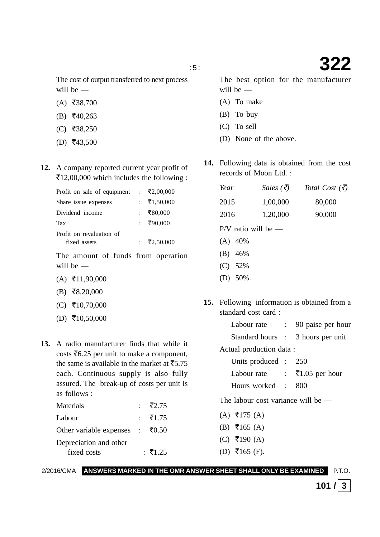The cost of output transferred to next process will be —

- $(A)$  ₹38,700
- $(B)$  ₹40,263
- $(C)$  ₹38,250
- $(D)$  ₹43,500
- **12.** A company reported current year profit of ₹12,00,000 which includes the following :

| Profit on sale of equipment : | ₹2,00,000            |
|-------------------------------|----------------------|
| Share issue expenses          | : $\bar{x}$ 1,50,000 |
| Dividend income               | ₹80,000              |
| Tax                           | : ₹90,000            |
| Profit on revaluation of      |                      |
| fixed assets                  | ₹2,50,000            |

The amount of funds from operation will be —

- $(A)$  ₹11,90,000
- $(B)$  ₹8,20,000
- $(C)$  ₹10,70,000
- $(D)$  ₹10,50,000
- **13.** A radio manufacturer finds that while it costs  $\bar{z}$ 6.25 per unit to make a component, the same is available in the market at  $\bar{z}$ 5.75 each. Continuous supply is also fully assured. The break-up of costs per unit is as follows :

| Materials                                | : ₹2.75 |
|------------------------------------------|---------|
| Labour                                   | : ₹1.75 |
| Other variable expenses : $\bar{x}$ 0.50 |         |
| Depreciation and other                   |         |
| fixed costs                              | : ₹1.25 |

2/2016/CMA **ANSWERS MARKED IN THE OMR ANSWER SHEET SHALL ONLY BE EXAMINED** P.T.O.

: 5 : **322** The best option for the manufacturer

will be —

- (A) To make
- (B) To buy
- (C) To sell
- (D) None of the above.
- **14.** Following data is obtained from the cost records of Moon Ltd. :

| Year                  | $Sales$ (₹) | Total Cost $(\bar{\vec{z}})$ |
|-----------------------|-------------|------------------------------|
| 2015                  | 1,00,000    | 80,000                       |
| 2016                  | 1,20,000    | 90,000                       |
| $P/V$ ratio will be — |             |                              |
| $(A)$ 40%             |             |                              |
| $(B)$ 46%             |             |                              |
| $(C)$ 52%             |             |                              |
| 50%.<br>(D)           |             |                              |

**15.** Following information is obtained from a standard cost card :

| Labour rate             | : 90 paise per hour               |
|-------------------------|-----------------------------------|
|                         | Standard hours : 3 hours per unit |
| Actual production data: |                                   |

| Units produced : 250 |                             |
|----------------------|-----------------------------|
| Labour rate          | : $\bar{\tau}1.05$ per hour |
| Hours worked : 800   |                             |

The labour cost variance will be —

- $(A)$  ₹175  $(A)$
- $(B) \; \bar{=} 165$  (A)
- $(C)$  ₹190 (A)
- $(D)$  ₹165 (F).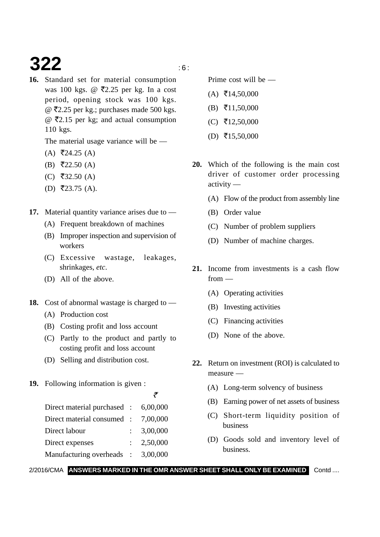# **322** is a set of  $\mathbb{R}^n$

**16.** Standard set for material consumption was 100 kgs. @ ₹2.25 per kg. In a cost period, opening stock was 100 kgs.  $@$  ₹2.25 per kg.; purchases made 500 kgs. @ -2.15 per kg; and actual consumption 110 kgs.

The material usage variance will be —

- $(A)$  ₹24.25  $(A)$
- $(B)$  ₹22.50 (A)
- (C) ₹32.50 (A)
- $(D)$  ₹23.75 (A).
- **17.** Material quantity variance arises due to
	- (A) Frequent breakdown of machines
	- (B) Improper inspection and supervision of workers
	- (C) Excessive wastage, leakages, shrinkages, *etc*.
	- (D) All of the above.
- **18.** Cost of abnormal wastage is charged to
	- (A) Production cost
	- (B) Costing profit and loss account
	- (C) Partly to the product and partly to costing profit and loss account
	- (D) Selling and distribution cost.
- **19.** Following information is given :

 $\tilde{\tau}$ Direct material purchased : 6,00,000 Direct material consumed : 7,00,000 Direct labour : 3,00,000 Direct expenses : 2,50,000 Manufacturing overheads : 3,00,000

Prime cost will be —

- $(A)$  ₹14,50,000
- $(B)$  ₹11,50,000
- $(C)$  ₹12,50,000
- $(D)$  ₹15,50,000
- **20.** Which of the following is the main cost driver of customer order processing activity —
	- (A) Flow of the product from assembly line
	- (B) Order value
	- (C) Number of problem suppliers
	- (D) Number of machine charges.
- **21.** Income from investments is a cash flow from —
	- (A) Operating activities
	- (B) Investing activities
	- (C) Financing activities
	- (D) None of the above.
- **22.** Return on investment (ROI) is calculated to measure —
	- (A) Long-term solvency of business
	- (B) Earning power of net assets of business
	- (C) Short-term liquidity position of business
	- (D) Goods sold and inventory level of business.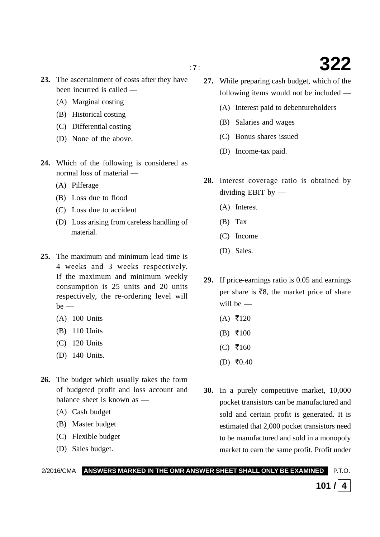- **23.** The ascertainment of costs after they have been incurred is called —
	- (A) Marginal costing
	- (B) Historical costing
	- (C) Differential costing
	- (D) None of the above.
- **24.** Which of the following is considered as normal loss of material —
	- (A) Pilferage
	- (B) Loss due to flood
	- (C) Loss due to accident
	- (D) Loss arising from careless handling of material.
- **25.** The maximum and minimum lead time is 4 weeks and 3 weeks respectively. If the maximum and minimum weekly consumption is 25 units and 20 units respectively, the re-ordering level will  $be$  —
	- (A) 100 Units
	- (B) 110 Units
	- (C) 120 Units
	- (D) 140 Units.
- **26.** The budget which usually takes the form of budgeted profit and loss account and balance sheet is known as —
	- (A) Cash budget
	- (B) Master budget
	- (C) Flexible budget
	- (D) Sales budget.
- **27.** While preparing cash budget, which of the following items would not be included —
	- (A) Interest paid to debentureholders
	- (B) Salaries and wages
	- (C) Bonus shares issued
	- (D) Income-tax paid.
- **28.** Interest coverage ratio is obtained by dividing EBIT by —
	- (A) Interest
	- (B) Tax
	- (C) Income
	- (D) Sales.
- **29.** If price-earnings ratio is 0.05 and earnings per share is  $\bar{z}_8$ , the market price of share will be —
	- $(A)$  ₹120
	- $(B)$  ₹100
	- $(C)$  ₹160
	- $(D)$  ₹0.40
- **30.** In a purely competitive market, 10,000 pocket transistors can be manufactured and sold and certain profit is generated. It is estimated that 2,000 pocket transistors need to be manufactured and sold in a monopoly market to earn the same profit. Profit under

**101** / 4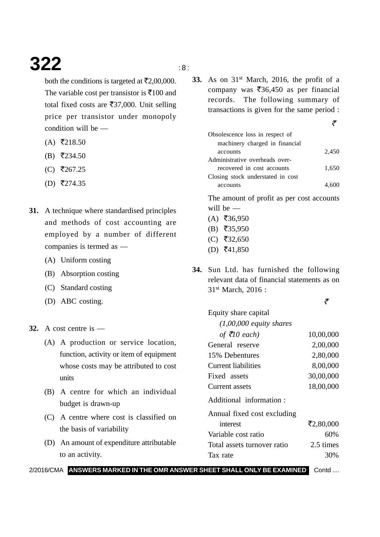### **322** is a set of  $\frac{1}{2}$

both the conditions is targeted at  $\bar{\mathcal{F}}2,00,000$ . The variable cost per transistor is  $\bar{x}$ 100 and total fixed costs are  $\overline{537,000}$ . Unit selling price per transistor under monopoly condition will be —

- $(A)$  ₹218.50
- $(B)$  ₹234.50
- $(C)$  ₹267.25
- $(D)$  ₹274.35
- **31.** A technique where standardised principles and methods of cost accounting are employed by a number of different companies is termed as —
	- (A) Uniform costing
	- (B) Absorption costing
	- (C) Standard costing
	- (D) ABC costing.
- **32.** A cost centre is
	- (A) A production or service location, function, activity or item of equipment whose costs may be attributed to cost units
	- (B) A centre for which an individual budget is drawn-up
	- (C) A centre where cost is classified on the basis of variability
	- (D) An amount of expenditure attributable to an activity.

**33.** As on 31<sup>st</sup> March, 2016, the profit of a company was  $\overline{\xi}36,450$  as per financial records. The following summary of transactions is given for the same period :

| Obsolescence loss in respect of   |       |
|-----------------------------------|-------|
| machinery charged in financial    |       |
| accounts                          | 2,450 |
| Administrative overheads over-    |       |
| recovered in cost accounts        | 1,650 |
| Closing stock understated in cost |       |
| accounts                          |       |

The amount of profit as per cost accounts will be -

- $(A)$  ₹36,950
- $(B)$  ₹35,950
- $(C)$  ₹32,650
- $(D)$  ₹41,850

Equity share capital

**34.** Sun Ltd. has furnished the following relevant data of financial statements as on 31st March, 2016 :

रै

 $\tilde{\tau}$ 

| $(1,00,000$ equity shares   |           |
|-----------------------------|-----------|
| of $\bar{\tau}$ 10 each)    | 10,00,000 |
| General reserve             | 2,00,000  |
| 15% Debentures              | 2,80,000  |
| Current liabilities         | 8,00,000  |
| Fixed assets                | 30,00,000 |
| <b>Current assets</b>       | 18,00,000 |
| Additional information:     |           |
| Annual fixed cost excluding |           |
| interest                    | ₹2,80,000 |
| Variable cost ratio         | 60%       |
| Total assets turnover ratio | 2.5 times |
| Tax rate                    | 30%       |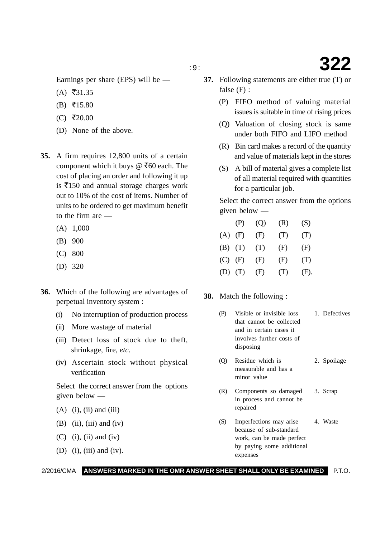Earnings per share (EPS) will be —

- $(A)$  ₹31.35
- $(B)$  ₹15.80
- $(C)$  ₹20.00
- (D) None of the above.
- **35.** A firm requires 12,800 units of a certain component which it buys @  $\bar{c}$ 60 each. The cost of placing an order and following it up is  $\bar{x}$ 150 and annual storage charges work out to 10% of the cost of items. Number of units to be ordered to get maximum benefit to the firm are —
	- (A) 1,000
	- (B) 900
	- (C) 800
	- (D) 320
- **36.** Which of the following are advantages of perpetual inventory system :
	- (i) No interruption of production process
	- (ii) More wastage of material
	- (iii) Detect loss of stock due to theft, shrinkage, fire, *etc*.
	- (iv) Ascertain stock without physical verification

Select the correct answer from the options given below —

- $(A)$  (i), (ii) and (iii)
- $(B)$  (ii), (iii) and (iv)
- $(C)$  (i), (ii) and (iv)
- (D) (i), (iii) and (iv).
- **37.** Following statements are either true (T) or false (F) :
	- (P) FIFO method of valuing material issues is suitable in time of rising prices
	- (Q) Valuation of closing stock is same under both FIFO and LIFO method
	- (R) Bin card makes a record of the quantity and value of materials kept in the stores
	- (S) A bill of material gives a complete list of all material required with quantities for a particular job.

Select the correct answer from the options given below —

|             | (P) | (Q) | (R) | (S)  |
|-------------|-----|-----|-----|------|
| (A)         | (F) | (F) | (T) | (T)  |
| $(B)$ $(T)$ |     | (T) | (F) | (F)  |
| $(C)$ $(F)$ |     | (F) | (F) | (T)  |
| $(D)$ $(T)$ |     | (F) | (T) | (F). |

**38.** Match the following :

- (P) Visible or invisible loss 1. Defectives that cannot be collected and in certain cases it involves further costs of disposing
- (Q) Residue which is 2. Spoilage measurable and has a minor value
- (R) Components so damaged 3. Scrap in process and cannot be repaired
- (S) Imperfections may arise 4. Waste because of sub-standard work, can be made perfect by paying some additional expenses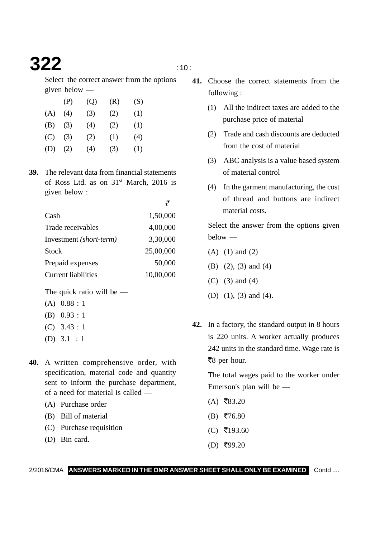### **322**  $\qquad \qquad \ldots$   $\qquad \qquad \ldots$

-

Select the correct answer from the options given below —

|     | (P) | (Q) | (R) | (S) |
|-----|-----|-----|-----|-----|
| (A) | (4) | (3) | (2) | (1) |
| (B) | (3) | (4) | (2) | (1) |
| (C) | (3) | (2) | (1) | (4) |
| (D) | (2) | (4) | (3) | (1) |

**39.** The relevant data from financial statements of Ross Ltd. as on 31st March, 2016 is given below :

| Cash                       | 1,50,000  |
|----------------------------|-----------|
| Trade receivables          | 4,00,000  |
| Investment (short-term)    | 3,30,000  |
| <b>Stock</b>               | 25,00,000 |
| Prepaid expenses           | 50,000    |
| <b>Current liabilities</b> | 10,00,000 |

The quick ratio will be  $-$ 

- (A) 0.88 : 1
- (B) 0.93 : 1
- (C) 3.43 : 1
- (D) 3.1 : 1
- **40.** A written comprehensive order, with specification, material code and quantity sent to inform the purchase department, of a need for material is called —
	- (A) Purchase order
	- (B) Bill of material
	- (C) Purchase requisition
	- (D) Bin card.
- **41.** Choose the correct statements from the following :
	- (1) All the indirect taxes are added to the purchase price of material
	- (2) Trade and cash discounts are deducted from the cost of material
	- (3) ABC analysis is a value based system of material control
	- (4) In the garment manufacturing, the cost of thread and buttons are indirect material costs.

Select the answer from the options given below —

- (A) (1) and (2)
- (B) (2), (3) and (4)
- (C) (3) and (4)
- (D) (1), (3) and (4).
- **42.** In a factory, the standard output in 8 hours is 220 units. A worker actually produces 242 units in the standard time. Wage rate is ₹8 per hour.

The total wages paid to the worker under Emerson's plan will be —

- $(A)$  ₹83.20
- $(B)$  ₹76.80
- $(C)$  ₹193.60
- $(D)$  ₹99.20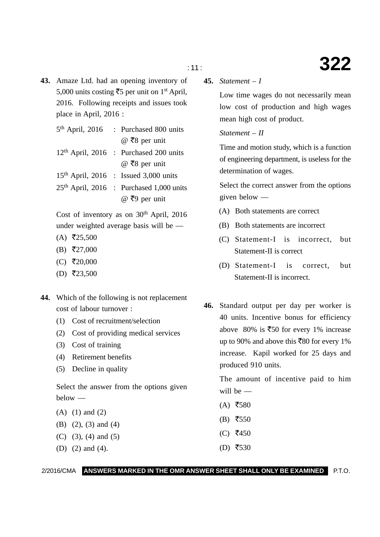**43.** Amaze Ltd. had an opening inventory of 5,000 units costing ₹5 per unit on 1<sup>st</sup> April, 2016. Following receipts and issues took place in April, 2016 :

|  | 5 <sup>th</sup> April, 2016 : Purchased 800 units  |
|--|----------------------------------------------------|
|  | @ ₹8 per unit                                      |
|  | 12 <sup>th</sup> April, 2016 : Purchased 200 units |
|  | @ ₹8 per unit                                      |
|  | $15th$ April, 2016 : Issued 3,000 units            |
|  | $25th$ April, 2016 : Purchased 1,000 units         |
|  | @ ₹9 per unit                                      |
|  |                                                    |

Cost of inventory as on  $30<sup>th</sup>$  April, 2016 under weighted average basis will be —

- $(A)$  ₹25,500
- $(B)$  ₹27,000
- $(C)$  ₹20,000
- $(D)$  ₹23,500
- **44.** Which of the following is not replacement cost of labour turnover :
	- (1) Cost of recruitment/selection
	- (2) Cost of providing medical services
	- (3) Cost of training
	- (4) Retirement benefits
	- (5) Decline in quality

Select the answer from the options given below —

- (A) (1) and (2)
- (B) (2), (3) and (4)
- (C) (3), (4) and (5)
- (D) (2) and (4).  $(D)$  ₹530

**45.** *Statement – I*

Low time wages do not necessarily mean low cost of production and high wages mean high cost of product.

#### *Statement – II*

Time and motion study, which is a function of engineering department, is useless for the determination of wages.

Select the correct answer from the options given below —

- (A) Both statements are correct
- (B) Both statements are incorrect
- (C) Statement-I is incorrect, but Statement-II is correct
- (D) Statement-I is correct, but Statement-II is incorrect.
- **46.** Standard output per day per worker is 40 units. Incentive bonus for efficiency above 80% is  $\overline{\xi}50$  for every 1% increase up to 90% and above this  $\overline{580}$  for every 1% increase. Kapil worked for 25 days and produced 910 units.

The amount of incentive paid to him will be —

- $(A)$  ₹580
- $(B)$  ₹550
- $(C)$  ₹450
-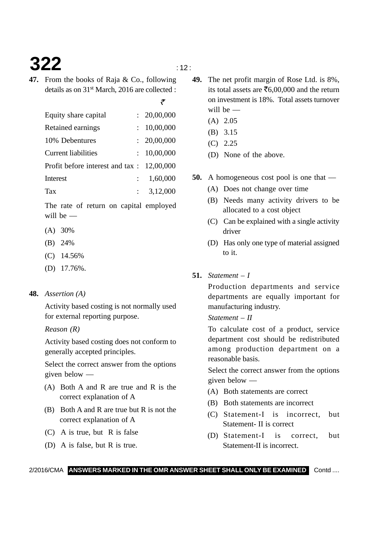# **322**  $\qquad \qquad \cdots$

- 
- **47.** From the books of Raja & Co., following details as on 31<sup>st</sup> March, 2016 are collected :

| Equity share capital                         | : 20,00,000           |
|----------------------------------------------|-----------------------|
| Retained earnings                            | : 10,00,000           |
| 10% Debentures                               | : 20,00,000           |
| <b>Current liabilities</b>                   | : 10,00,000           |
| Profit before interest and tax : $12,00,000$ |                       |
| Interest                                     | 1,60,000              |
| Tax                                          | $\therefore$ 3,12,000 |

The rate of return on capital employed will be —

- (A) 30%
- (B) 24%
- (C) 14.56%
- (D) 17.76%.

#### **48.** *Assertion (A)*

Activity based costing is not normally used for external reporting purpose.

#### *Reason (R)*

Activity based costing does not conform to generally accepted principles.

Select the correct answer from the options given below —

- (A) Both A and R are true and R is the correct explanation of A
- (B) Both A and R are true but R is not the correct explanation of A
- (C) A is true, but R is false
- (D) A is false, but R is true.
- **49.** The net profit margin of Rose Ltd. is 8%, its total assets are  $\bar{x}6,00,000$  and the return on investment is 18%. Total assets turnover will be —
	- (A) 2.05
	- (B) 3.15
	- (C) 2.25
	- (D) None of the above.
- **50.** A homogeneous cost pool is one that
	- (A) Does not change over time
	- (B) Needs many activity drivers to be allocated to a cost object
	- (C) Can be explained with a single activity driver
	- (D) Has only one type of material assigned to it.
- **51.** *Statement I*

Production departments and service departments are equally important for manufacturing industry.

#### *Statement – II*

To calculate cost of a product, service department cost should be redistributed among production department on a reasonable basis.

Select the correct answer from the options given below —

- (A) Both statements are correct
- (B) Both statements are incorrect
- (C) Statement-I is incorrect, but Statement- II is correct
- (D) Statement-I is correct, but Statement-II is incorrect.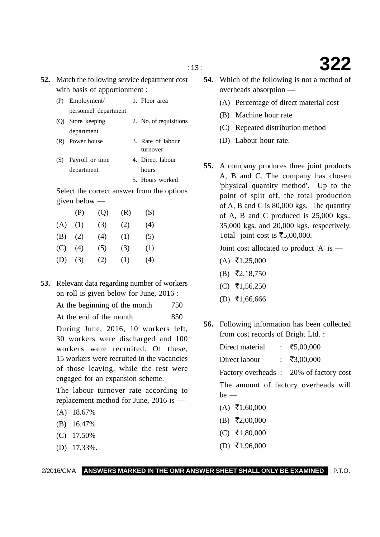- **52.** Match the following service department cost with basis of apportionment :
	- (P) Employment/ 1. Floor area personnel department
	- (Q) Store keeping 2. No. of requisitions department
	- (R) Power house 3. Rate of labour
		- turnover
	- (S) Payroll or time 4. Direct labour department hours
		- 5. Hours worked

Select the correct answer from the options given below —

|     | (P) | (Q) | (R) | (S) |
|-----|-----|-----|-----|-----|
| (A) | (1) | (3) | (2) | (4) |
| (B) | (2) | (4) | (1) | (5) |
| (C) | (4) | (5) | (3) | (1) |
| (D) | (3) | (2) | (1) | (4) |

**53.** Relevant data regarding number of workers on roll is given below for June, 2016 :

At the beginning of the month 750

At the end of the month 850

During June, 2016, 10 workers left, 30 workers were discharged and 100 workers were recruited. Of these, 15 workers were recruited in the vacancies of those leaving, while the rest were engaged for an expansion scheme.

The labour turnover rate according to replacement method for June, 2016 is —

- (A) 18.67%
- (B) 16.47%
- (C) 17.50%
- (D) 17.33%.
- **54.** Which of the following is not a method of overheads absorption —
	- (A) Percentage of direct material cost
	- (B) Machine hour rate
	- (C) Repeated distribution method
	- (D) Labour hour rate.
- **55.** A company produces three joint products A, B and C. The company has chosen 'physical quantity method'. Up to the point of split off, the total production of A, B and C is 80,000 kgs. The quantity of A, B and C produced is 25,000 kgs., 35,000 kgs. and 20,000 kgs. respectively. Total joint cost is  $\overline{\textless}5,00,000$ .

Joint cost allocated to product 'A' is —

- $(A)$  ₹1,25,000
- $(B)$  ₹2,18,750
- (C) ₹1,56,250
- $(D)$  ₹1,66,666
- **56.** Following information has been collected from cost records of Bright Ltd. :
	- Direct material 5,00,000 Direct labour : ₹3,00,000

Factory overheads : 20% of factory cost

The amount of factory overheads will  $be$  —

- $(A)$  ₹1,60,000
- $(B)$  ₹2,00,000
- $(C)$  ₹1,80,000
- $(D)$  ₹1,96,000

2/2016/CMA **ANSWERS MARKED IN THE OMR ANSWER SHEET SHALL ONLY BE EXAMINED** P.T.O.

: 13 : **322**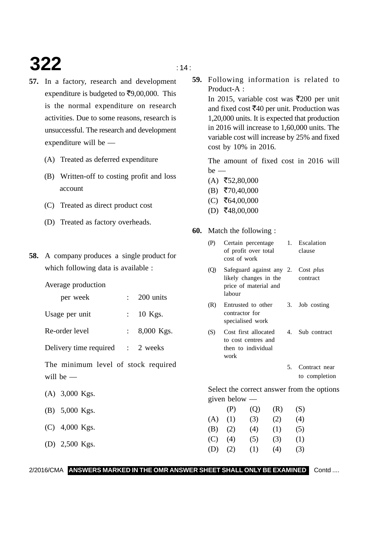# **322**  $\frac{1}{14}$

- **57.** In a factory, research and development expenditure is budgeted to  $\text{F}9,00,000$ . This is the normal expenditure on research activities. Due to some reasons, research is unsuccessful. The research and development expenditure will be —
	- (A) Treated as deferred expenditure
	- (B) Written-off to costing profit and loss account
	- (C) Treated as direct product cost
	- (D) Treated as factory overheads.
- **58.** A company produces a single product for which following data is available :

Average production

| per week | 200 units |
|----------|-----------|
|          |           |

- Usage per unit : 10 Kgs.
- Re-order level : 8,000 Kgs.

Delivery time required : 2 weeks

The minimum level of stock required will be —

- (A) 3,000 Kgs.
- (B) 5,000 Kgs.
- (C) 4,000 Kgs.
- (D) 2,500 Kgs.

**59.** Following information is related to Product-A :

> In 2015, variable cost was  $\overline{\text{5}}200$  per unit and fixed cost ₹40 per unit. Production was 1,20,000 units. It is expected that production in 2016 will increase to 1,60,000 units. The variable cost will increase by 25% and fixed cost by 10% in 2016.

> The amount of fixed cost in 2016 will  $be$  —

- $(A)$  ₹52,80,000
- $(B)$  ₹70,40,000
- $(C)$  ₹64,00,000
- $(D)$  ₹48,00,000
- **60.** Match the following :

| (P)            | cost of work                       | of profit over total                                              |     |    | Certain percentage 1. Escalation<br>clause     |
|----------------|------------------------------------|-------------------------------------------------------------------|-----|----|------------------------------------------------|
| $\circledcirc$ | labour                             | likely changes in the<br>price of material and                    |     |    | Safeguard against any 2. Cost plus<br>contract |
| (R)            | contractor for<br>specialised work | Entrusted to other                                                |     |    | 3. Job costing                                 |
| (S)            | work                               | Cost first allocated<br>to cost centres and<br>then to individual |     |    | 4. Sub contract                                |
|                |                                    |                                                                   |     | 5. | Contract near<br>to completion                 |
|                |                                    |                                                                   |     |    | Select the correct answer from the options     |
|                | given below $-$                    |                                                                   |     |    |                                                |
|                |                                    |                                                                   | (K) |    |                                                |
|                |                                    |                                                                   |     |    |                                                |

|     | (P) | (Q) | (R) | (S) |
|-----|-----|-----|-----|-----|
| (A) | (1) | (3) | (2) | (4) |
| (B) | (2) | (4) | (1) | (5) |
| (C) | (4) | (5) | (3) | (1) |
| (D) | (2) | (1) | (4) | (3) |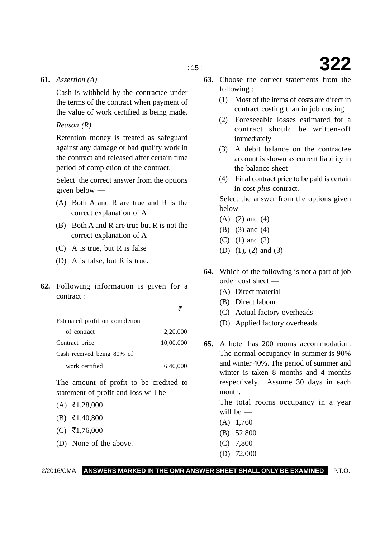#### **61.** *Assertion (A)*

Cash is withheld by the contractee under the terms of the contract when payment of the value of work certified is being made.

#### *Reason (R)*

Retention money is treated as safeguard against any damage or bad quality work in the contract and released after certain time period of completion of the contract.

Select the correct answer from the options given below —

- (A) Both A and R are true and R is the correct explanation of A
- (B) Both A and R are true but R is not the correct explanation of A
- (C) A is true, but R is false
- (D) A is false, but R is true.
- **62.** Following information is given for a contract :

| Estimated profit on completion |           |
|--------------------------------|-----------|
| of contract                    | 2,20,000  |
| Contract price                 | 10,00,000 |
| Cash received being 80% of     |           |
| work certified                 | 6,40,000  |

The amount of profit to be credited to statement of profit and loss will be —

- $(A) \ \overline{5}1,28,000$
- $(B) \ \overline{5}1,40,800$
- $(C)$  ₹1,76,000
- (D) None of the above.
- **63.** Choose the correct statements from the following :
	- (1) Most of the items of costs are direct in contract costing than in job costing
	- (2) Foreseeable losses estimated for a contract should be written-off immediately
	- (3) A debit balance on the contractee account is shown as current liability in the balance sheet
	- (4) Final contract price to be paid is certain in cost *plus* contract.

Select the answer from the options given below —

- (A) (2) and (4)
- (B) (3) and (4)
- (C) (1) and (2)
- (D) (1), (2) and (3)
- **64.** Which of the following is not a part of job order cost sheet —
	- (A) Direct material
	- (B) Direct labour
	- (C) Actual factory overheads
	- (D) Applied factory overheads.
- **65.** A hotel has 200 rooms accommodation. The normal occupancy in summer is 90% and winter 40%. The period of summer and winter is taken 8 months and 4 months respectively. Assume 30 days in each month.

The total rooms occupancy in a year will be —

- (A) 1,760
- (B) 52,800
- (C) 7,800
- (D) 72,000

#### 2/2016/CMA **ANSWERS MARKED IN THE OMR ANSWER SHEET SHALL ONLY BE EXAMINED** P.T.O.

 $\tilde{\tau}$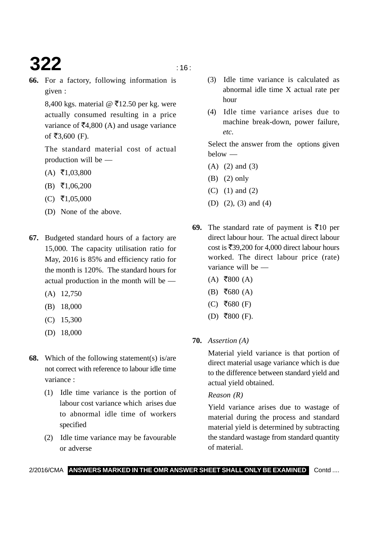# **322** is the set of  $\frac{16}{16}$

- 
- **66.** For a factory, following information is given :

8,400 kgs. material @  $\overline{5}12.50$  per kg. were actually consumed resulting in a price variance of  $\overline{\mathsf{F}}4,800 \text{ (A)}$  and usage variance of ₹3,600 (F).

The standard material cost of actual production will be —

- $(A) \ \overline{5}1,03,800$
- $(B) \ \overline{5}1,06,200$
- $(C)$  ₹1,05,000
- (D) None of the above.
- **67.** Budgeted standard hours of a factory are 15,000. The capacity utilisation ratio for May, 2016 is 85% and efficiency ratio for the month is 120%. The standard hours for actual production in the month will be —
	- (A) 12,750
	- (B) 18,000
	- (C) 15,300
	- (D) 18,000
- **68.** Which of the following statement(s) is/are not correct with reference to labour idle time variance :
	- (1) Idle time variance is the portion of labour cost variance which arises due to abnormal idle time of workers specified
	- (2) Idle time variance may be favourable or adverse
- (3) Idle time variance is calculated as abnormal idle time X actual rate per hour
- (4) Idle time variance arises due to machine break-down, power failure, *etc*.

Select the answer from the options given below —

- (A) (2) and (3)
- (B) (2) only
- (C) (1) and (2)
- (D) (2), (3) and (4)
- **69.** The standard rate of payment is  $\bar{\mathbf{\xi}}$ 10 per direct labour hour. The actual direct labour cost is  $\bar{x}$ 39,200 for 4,000 direct labour hours worked. The direct labour price (rate) variance will be —
	- $(A)$  ₹800  $(A)$
	- $(B) \; \bar{=} \; 680$  (A)
	- $(C)$  ₹680 (F)
	- $(D)$  ₹800 (F).
- **70.** *Assertion (A)*

Material yield variance is that portion of direct material usage variance which is due to the difference between standard yield and actual yield obtained.

#### *Reason (R)*

Yield variance arises due to wastage of material during the process and standard material yield is determined by subtracting the standard wastage from standard quantity of material.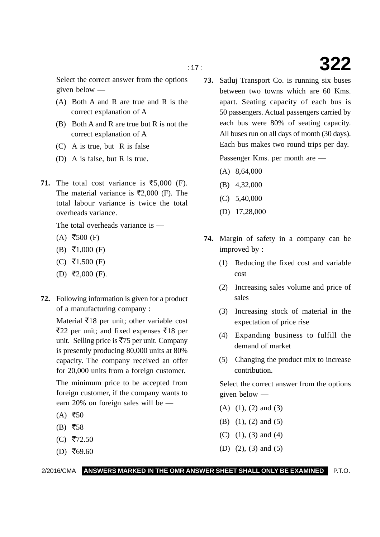Select the correct answer from the options given below —

- (A) Both A and R are true and R is the correct explanation of A
- (B) Both A and R are true but R is not the correct explanation of A
- (C) A is true, but R is false
- (D) A is false, but R is true.
- **71.** The total cost variance is  $\overline{\xi}$ 5,000 (F). The material variance is  $\overline{5}2,000$  (F). The total labour variance is twice the total overheads variance.

The total overheads variance is —

- $(A)$  ₹500 (F)
- $(B) \ \overline{\mathbf{5}}1,000 \ (F)$
- (C) ₹1,500 (F)
- $(D)$  ₹2,000 (F).
- **72.** Following information is given for a product of a manufacturing company :

Material  $\bar{z}$ 18 per unit; other variable cost ₹22 per unit; and fixed expenses ₹18 per unit. Selling price is ₹75 per unit. Company is presently producing 80,000 units at 80% capacity. The company received an offer for 20,000 units from a foreign customer.

The minimum price to be accepted from foreign customer, if the company wants to earn 20% on foreign sales will be —

- $(A)$  ₹50
- $(B)$  ₹58
- $(C)$  ₹72.50
- $(D) \; ₹69.60$

**73.** Satluj Transport Co. is running six buses between two towns which are 60 Kms. apart. Seating capacity of each bus is 50 passengers. Actual passengers carried by each bus were 80% of seating capacity. All buses run on all days of month (30 days). Each bus makes two round trips per day.

Passenger Kms. per month are —

- (A) 8,64,000
- (B) 4,32,000
- (C) 5,40,000
- (D) 17,28,000
- **74.** Margin of safety in a company can be improved by :
	- (1) Reducing the fixed cost and variable cost
	- (2) Increasing sales volume and price of sales
	- (3) Increasing stock of material in the expectation of price rise
	- (4) Expanding business to fulfill the demand of market
	- (5) Changing the product mix to increase contribution.

Select the correct answer from the options given below —

- (A) (1), (2) and (3)
- (B) (1), (2) and (5)
- (C) (1), (3) and (4)
- (D) (2), (3) and (5)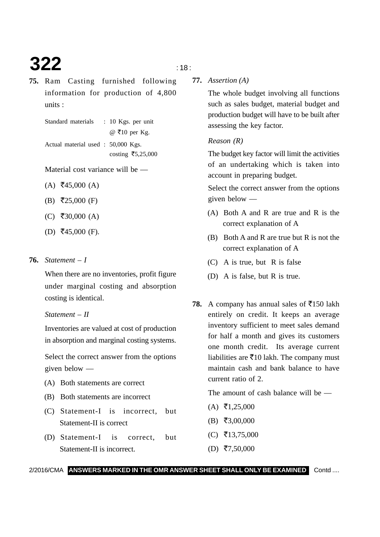# **322**  $\frac{1}{18}$

- 
- **75.** Ram Casting furnished following information for production of 4,800 units :

Standard materials : 10 Kgs. per unit @ -10 per Kg. Actual material used : 50,000 Kgs.  $\cos$ ting ₹5,25,000

Material cost variance will be —

- $(A)$  ₹45,000  $(A)$
- (B) ₹25,000 (F)
- $(C)$  ₹30,000 (A)
- $(D)$  ₹45,000 (F).

#### **76.** *Statement – I*

When there are no inventories, profit figure under marginal costing and absorption costing is identical.

#### *Statement – II*

Inventories are valued at cost of production in absorption and marginal costing systems.

Select the correct answer from the options given below —

- (A) Both statements are correct
- (B) Both statements are incorrect
- (C) Statement-I is incorrect, but Statement-II is correct
- (D) Statement-I is correct, but Statement-II is incorrect.

**77.** *Assertion (A)*

The whole budget involving all functions such as sales budget, material budget and production budget will have to be built after assessing the key factor.

#### *Reason (R)*

The budget key factor will limit the activities of an undertaking which is taken into account in preparing budget.

Select the correct answer from the options given below —

- (A) Both A and R are true and R is the correct explanation of A
- (B) Both A and R are true but R is not the correct explanation of A
- (C) A is true, but R is false
- (D) A is false, but R is true.
- **78.** A company has annual sales of  $\overline{5}150$  lakh entirely on credit. It keeps an average inventory sufficient to meet sales demand for half a month and gives its customers one month credit. Its average current liabilities are  $\bar{x}$ 10 lakh. The company must maintain cash and bank balance to have current ratio of 2.

The amount of cash balance will be —

- $(A) \t{5}$ ,25,000
- $(B) \; \bar{=} \; 3,00,000$
- $(C)$  ₹13,75,000
- $(D)$  ₹7,50,000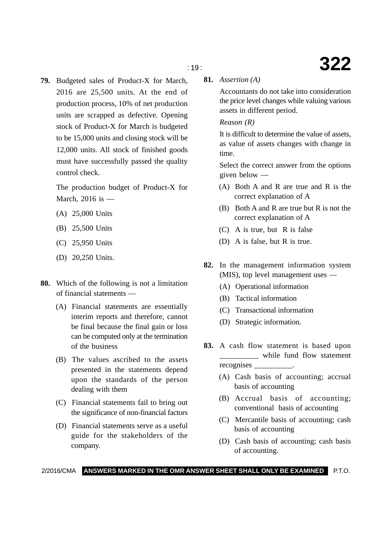**79.** Budgeted sales of Product-X for March, 2016 are 25,500 units. At the end of production process, 10% of net production units are scrapped as defective. Opening stock of Product-X for March is budgeted to be 15,000 units and closing stock will be 12,000 units. All stock of finished goods must have successfully passed the quality control check.

The production budget of Product-X for March, 2016 is —

- (A) 25,000 Units
- (B) 25,500 Units
- (C) 25,950 Units
- (D) 20,250 Units.
- **80.** Which of the following is not a limitation of financial statements —
	- (A) Financial statements are essentially interim reports and therefore, cannot be final because the final gain or loss can be computed only at the termination of the business
	- (B) The values ascribed to the assets presented in the statements depend upon the standards of the person dealing with them
	- (C) Financial statements fail to bring out the significance of non-financial factors
	- (D) Financial statements serve as a useful guide for the stakeholders of the company.

**81.** *Assertion (A)*

Accountants do not take into consideration the price level changes while valuing various assets in different period.

#### *Reason (R)*

It is difficult to determine the value of assets, as value of assets changes with change in time.

Select the correct answer from the options given below —

- (A) Both A and R are true and R is the correct explanation of A
- (B) Both A and R are true but R is not the correct explanation of A
- (C) A is true, but R is false
- (D) A is false, but R is true.
- **82.** In the management information system (MIS), top level management uses —
	- (A) Operational information
	- (B) Tactical information
	- (C) Transactional information
	- (D) Strategic information.
- **83.** A cash flow statement is based upon while fund flow statement recognises \_\_\_\_\_\_\_\_\_\_.
	- (A) Cash basis of accounting; accrual basis of accounting
	- (B) Accrual basis of accounting; conventional basis of accounting
	- (C) Mercantile basis of accounting; cash basis of accounting
	- (D) Cash basis of accounting; cash basis of accounting.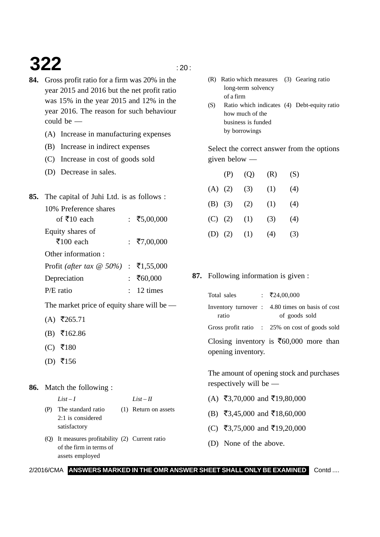# **322**  $\frac{1}{20}$

- **84.** Gross profit ratio for a firm was 20% in the year 2015 and 2016 but the net profit ratio was 15% in the year 2015 and 12% in the year 2016. The reason for such behaviour could be —
	- (A) Increase in manufacturing expenses
	- (B) Increase in indirect expenses
	- (C) Increase in cost of goods sold
	- (D) Decrease in sales.
- **85.** The capital of Juhi Ltd. is as follows :

| 10% Preference shares           |               |
|---------------------------------|---------------|
| of ₹10 each                     | : ₹5,00,000   |
| Equity shares of                |               |
| $\bar{x}$ 100 each              | : ₹7,00,000   |
| Other information:              |               |
| Profit (after tax $\omega$ 50%) | : ₹1,55,000   |
| Depreciation                    | ₹60,000       |
| $P/E$ ratio                     | $: 12 \times$ |
|                                 |               |

The market price of equity share will be —

- $(A)$  ₹265.71
- $(B)$  ₹162.86
- $(C)$  ₹180
- $(D)$  ₹156

#### **86.** Match the following :

 $\mathbf{z}t - \mathbf{I}$   $\qquad \qquad \mathbf{List} - \mathbf{II}$ 

- (P) The standard ratio (1) Return on assets
	- 2:1 is considered satisfactory
- (Q) It measures profitability (2) Current ratio of the firm in terms of assets employed
- (R) Ratio which measures (3) Gearing ratio long-term solvency of a firm
- (S) Ratio which indicates (4) Debt-equity ratio how much of the business is funded by borrowings

Select the correct answer from the options given below —

|             | (P) | (Q) | (R) | (S) |
|-------------|-----|-----|-----|-----|
| (A)         | (2) | (3) | (1) | (4) |
| $(B)$ (3)   |     | (2) | (1) | (4) |
| (C)         | (2) | (1) | (3) | (4) |
| $(D)$ $(2)$ |     | (1) | (4) | (3) |

**87.** Following information is given :

| Total sales        | : ₹24,00,000                                                      |
|--------------------|-------------------------------------------------------------------|
| ratio              | Inventory turnover : 4.80 times on basis of cost<br>of goods sold |
|                    | Gross profit ratio : 25% on cost of goods sold                    |
|                    | Closing inventory is $\bar{\mathfrak{F}}60,000$ more than         |
| opening inventory. |                                                                   |

The amount of opening stock and purchases respectively will be —

- $(A)$  ₹3,70,000 and ₹19,80,000
- (B) ₹3,45,000 and ₹18,60,000
- (C) ₹3,75,000 and ₹19,20,000
- (D) None of the above.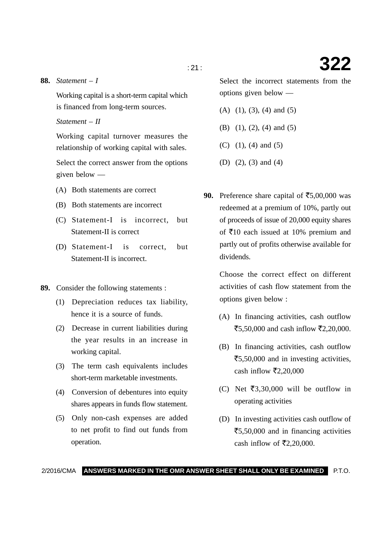**88.** *Statement – I*

Working capital is a short-term capital which is financed from long-term sources.

*Statement – II*

Working capital turnover measures the relationship of working capital with sales.

Select the correct answer from the options given below —

- (A) Both statements are correct
- (B) Both statements are incorrect
- (C) Statement-I is incorrect, but Statement-II is correct
- (D) Statement-I is correct, but Statement-II is incorrect.
- **89.** Consider the following statements :
	- (1) Depreciation reduces tax liability, hence it is a source of funds.
	- (2) Decrease in current liabilities during the year results in an increase in working capital.
	- (3) The term cash equivalents includes short-term marketable investments.
	- (4) Conversion of debentures into equity shares appears in funds flow statement.
	- (5) Only non-cash expenses are added to net profit to find out funds from operation.

Select the incorrect statements from the options given below —

- (A) (1), (3), (4) and (5)
- (B) (1), (2), (4) and (5)
- (C) (1), (4) and (5)
- (D) (2), (3) and (4)
- 90. Preference share capital of  $\overline{55,00,000}$  was redeemed at a premium of 10%, partly out of proceeds of issue of 20,000 equity shares of ₹10 each issued at 10% premium and partly out of profits otherwise available for dividends.

Choose the correct effect on different activities of cash flow statement from the options given below :

- (A) In financing activities, cash outflow ₹5,50,000 and cash inflow ₹2,20,000.
- (B) In financing activities, cash outflow ₹5,50,000 and in investing activities, cash inflow  $\bar{\mathfrak{r}}2,20,000$
- (C) Net ₹3,30,000 will be outflow in operating activities
- (D) In investing activities cash outflow of ₹5,50,000 and in financing activities cash inflow of  $\overline{\mathfrak{r}}2,20,000$ .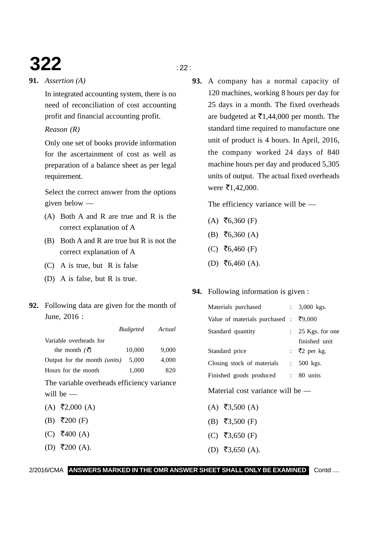# **322**  $\frac{1}{22}$

#### **91.** *Assertion (A)*

In integrated accounting system, there is no need of reconciliation of cost accounting profit and financial accounting profit.

#### *Reason (R)*

Only one set of books provide information for the ascertainment of cost as well as preparation of a balance sheet as per legal requirement.

Select the correct answer from the options given below —

- (A) Both A and R are true and R is the correct explanation of A
- (B) Both A and R are true but R is not the correct explanation of A
- (C) A is true, but R is false
- (D) A is false, but R is true.
- **92.** Following data are given for the month of June, 2016 :

|                                     | <b>Budgeted</b> | Actual |
|-------------------------------------|-----------------|--------|
| Variable overheads for              |                 |        |
| the month $(\vec{z})$               | 10,000          | 9,000  |
| Output for the month <i>(units)</i> | 5,000           | 4,000  |
| Hours for the month                 | 1,000           | 820    |
|                                     |                 |        |

The variable overheads efficiency variance will be —

- $(A)$  ₹2,000  $(A)$
- (B) ₹200 (F)
- $(C)$  ₹400 (A)
- $(D)$  ₹200 (A).
- - **93.** A company has a normal capacity of 120 machines, working 8 hours per day for 25 days in a month. The fixed overheads are budgeted at  $\bar{\mathfrak{e}}1,44,000$  per month. The standard time required to manufacture one unit of product is 4 hours. In April, 2016, the company worked 24 days of 840 machine hours per day and produced 5,305 units of output. The actual fixed overheads were  $\bar{\tau}$ 1,42,000.

The efficiency variance will be —

- $(A)$  ₹6,360 (F)
- $(B) \; \bar{f}6,360 \; (A)$
- $(C)$  ₹6,460 (F)
- $(D)$  ₹6,460 (A).

### **94.** Following information is given :

| Materials purchased                   |                           | : $3,000$ kgs.            |
|---------------------------------------|---------------------------|---------------------------|
| Value of materials purchased : ₹9,000 |                           |                           |
| Standard quantity                     |                           | $: 25$ Kgs. for one       |
|                                       |                           | finished unit             |
| Standard price                        |                           | : $\overline{z}2$ per kg. |
| Closing stock of materials            | $\mathbb{Z}^{\mathbb{Z}}$ | 500 kgs.                  |
| Finished goods produced               | $\ddot{\cdot}$            | 80 units                  |

Material cost variance will be —

- $(A)$  ₹3,500  $(A)$
- (B) ₹3,500 (F)
- (C) ₹3,650 (F)
- $(D)$  ₹3,650 (A).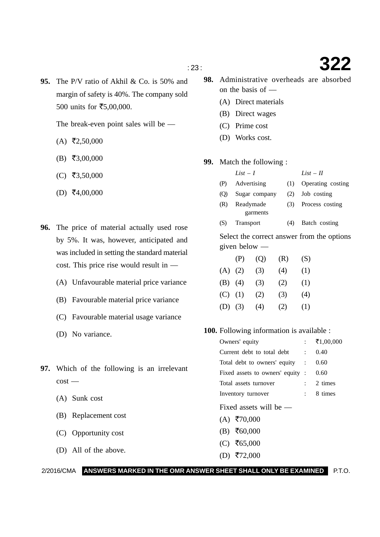**95.** The P/V ratio of Akhil & Co. is 50% and margin of safety is 40%. The company sold 500 units for  $\overline{5}5,00,000$ .

The break-even point sales will be —

- $(A)$  ₹2,50,000
- $(B) \; \bar{=} \; 3,00,000$
- $(C)$  ₹3,50,000
- $(D) \; \bar{=} 4,00,000$
- **96.** The price of material actually used rose by 5%. It was, however, anticipated and was included in setting the standard material cost. This price rise would result in —
	- (A) Unfavourable material price variance
	- (B) Favourable material price variance
	- (C) Favourable material usage variance
	- (D) No variance.
- **97.** Which of the following is an irrelevant cost —
	- (A) Sunk cost
	- (B) Replacement cost
	- (C) Opportunity cost
	- (D) All of the above.
- **98.** Administrative overheads are absorbed on the basis of —
	- (A) Direct materials
	- (B) Direct wages
	- (C) Prime cost
	- (D) Works cost.
- **99.** Match the following :

|        | $List-I$          | $List - II$           |
|--------|-------------------|-----------------------|
|        | (P) Advertising   | (1) Operating costing |
|        | (Q) Sugar company | $(2)$ Job costing     |
| $\sim$ |                   |                       |

- (R) Readymade (3) Process costing garments
- (S) Transport (4) Batch costing

Select the correct answer from the options given below —

|           | (P) | (Q) | (R) | (S) |
|-----------|-----|-----|-----|-----|
| $(A)$ (2) |     | (3) | (4) | (1) |
| $(B)$ (4) |     | (3) | (2) | (1) |
| $(C)$ (1) |     | (2) | (3) | (4) |
| $(D)$ (3) |     | (4) | (2) | (1) |

**100.** Following information is available :

| Owners' equity                   |  | ₹1,00,000             |
|----------------------------------|--|-----------------------|
| Current debt to total debt :     |  | 0.40                  |
| Total debt to owners' equity :   |  | 0.60                  |
| Fixed assets to owners' equity : |  | 0.60                  |
| Total assets turnover            |  | 2 times               |
| Inventory turnover               |  | $\frac{1}{2}$ 8 times |
| Fixed assets will be $-$         |  |                       |
| $(A)$ ₹70,000                    |  |                       |
| $(B) \; ₹60,000$                 |  |                       |
| (C) ₹65,000                      |  |                       |

 $(D)$  ₹72,000